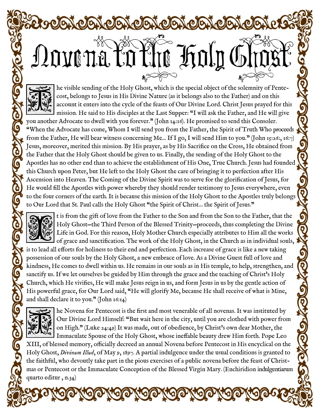# Daut na Eo Ehr Froly Ghos

OteOteOteOteOteOteOteOt



he visible sending of the Holy Ghost, which is the special object of the solemnity of Pentecost, belongs to Jesus in His Divine Nature (as it belongs also to the Father) and on this account it enters into the cycle of the feasts of Our Divine Lord. Christ Jesus prayed for this mission. He said to His disciples at the Last Supper: "I will ask the Father, and He will give you another Advocate to dwell with you forever." (John 14:16). He promised to send this Consoler. "When the Advocate has come, Whom I will send you from the Father, the Spirit of Truth Who proceeds from the Father, He will bear witness concerning Me... If I go, I will send Him to you." (John 15:26:, 16:7) Jesus, moreover, merited this mission. By His prayer, as by His Sacrifice on the Cross, He obtained from the Father that the Holy Ghost should be given to us. Finally, the sending of the Holy Ghost to the Apostles has no other end than to achieve the establishment of His One, True Church. Jesus had founded this Church upon Peter, but He left to the Holy Ghost the care of bringing it to perfection after His Ascension into Heaven. The Coming of the Divine Spirit was to serve for the glorification of Jesus, for He would fill the Apostles with power whereby they should render testimony to Jesus everywhere, even to the four corners of the earth. It is because this mission of the Holy Ghost to the Apostles truly belongs to Our Lord that St. Paul calls the Holy Ghost "the Spirit of Christ… the Spirit of Jesus."



t is from the gift of love from the Father to the Son and from the Son to the Father, that the Holy Ghost—the Third Person of the Blessed Trinity—proceeds, thus completing the Divine Life in God. For this reason, Holy Mother Church especially attributes to Him all the works of grace and sanctification. The work of the Holy Ghost, in the Church as in individual souls,

is to lead all efforts for holiness to their end and perfection. Each increase of grace is like a new taking possession of our souls by the Holy Ghost, a new embrace of love. As a Divine Guest full of love and kindness, He comes to dwell within us. He remains in our souls as in His temple, to help, strengthen, and sanctify us. If we let ourselves be guided by Him through the grace and the teaching of Christ's Holy Church, which He vivifies, He will make Jesus reign in us, and form Jesus in us by the gentle action of His powerful grace, for Our Lord said, "He will glorify Me, because He shall receive of what is Mine, and shall declare it to you." (John 16:14)



he Novena for Pentecost is the first and most venerable of all novenas. It was instituted by Our Divine Lord Himself: "But wait here in the city, until you are clothed with power from on High." (Luke 24:49) It was made, out of obedience, by Christ's own dear Mother, the Immaculate Spouse of the Holy Ghost, whose ineffable beauty drew Him forth. Pope Leo

XIII, of blessed memory, officially decreed an annual Novena before Pentecost in His encyclical on the Holy Ghost, *Divinum Illud*, of May 9, 1897. A partial indulgence under the usual conditions is granted to the faithful, who devoutly take part in the pious exercises of a public novena before the feast of Christmas or Pentecost or the Immaculate Conception of the Blessed Virgin Mary. (Enchiridion indulgentiarum quarto editur , n.34)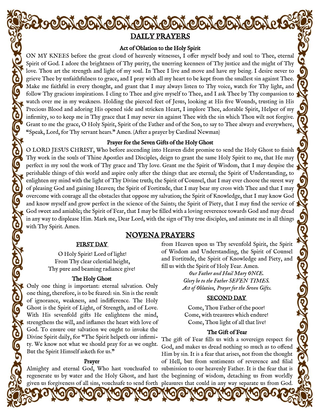# DAILY PRAYERS Act of Oblation to the Holy Spirit

toetaketaketaketaketaketaketa

ON MY KNEES before the great cloud of heavenly witnesses, I offer myself body and soul to Thee, eternal Spirit of God. I adore the brightness of Thy purity, the unerring keenness of Thy justice and the might of Thy love. Thou art the strength and light of my soul. In Thee I live and move and have my being. I desire never to grieve Thee by unfaithfulness to grace, and I pray with all my heart to be kept from the smallest sin against Thee. Make me faithful in every thought, and grant that I may always listen to Thy voice, watch for Thy light, and follow Thy gracious inspirations. I cling to Thee and give myself to Thee, and I ask Thee by Thy compassion to watch over me in my weakness. Holding the pierced feet of Jesus, looking at His five Wounds, trusting in His Precious Blood and adoring His opened side and stricken Heart, I implore Thee, adorable Spirit, Helper of my infirmity, so to keep me in Thy grace that I may never sin against Thee with the sin which Thou wilt not forgive. Grant to me the grace, O Holy Spirit, Spirit of the Father and of the Son, to say to Thee always and everywhere, "Speak, Lord, for Thy servant hears." Amen. (After a prayer by Cardinal Newman)

# Prayer for the Seven Gifts of the Holy Ghost

O LORD JESUS CHRIST, Who before ascending into Heaven didst promise to send the Holy Ghost to finish Thy work in the souls of Thine Apostles and Disciples, deign to grant the same Holy Spirit to me, that He may perfect in my soul the work of Thy grace and Thy love. Grant me the Spirit of Wisdom, that I may despise the perishable things of this world and aspire only after the things that are eternal; the Spirit of Understanding, to enlighten my mind with the light of Thy Divine truth; the Spirit of Counsel, that I may ever choose the surest way of pleasing God and gaining Heaven; the Spirit of Fortitude, that I may bear my cross with Thee and that I may overcome with courage all the obstacles that oppose my salvation; the Spirit of Knowledge, that I may know God and know myself and grow perfect in the science of the Saints; the Spirit of Piety, that I may find the service of God sweet and amiable; the Spirit of Fear, that I may be filled with a loving reverence towards God and may dread in any way to displease Him. Mark me, Dear Lord, with the sign of Thy true disciples, and animate me in all things with Thy Spirit. Amen.

# NOVENA PRAYERS

# FIRST DAY

O Holy Spirit! Lord of light! From Thy clear celestial height, Thy pure and beaming radiance give!

# The Holy Ghost

Only one thing is important: eternal salvation. Only one thing, therefore, is to be feared: sin. Sin is the result of ignorance, weakness, and indifference. The Holy Ghost is the Spirit of Light, of Strength, and of Love. With His sevenfold gifts He enlightens the mind, strengthens the will, and inflames the heart with love of God. To ensure our salvation we ought to invoke the Divine Spirit daily, for "The Spirit helpeth our infirmity. We know not what we should pray for as we ought. But the Spirit Himself asketh for us."

# Prayer

Almighty and eternal God, Who hast vouchsafed to submission to our heavenly Father. It is the fear that is regenerate us by water and the Holy Ghost, and hast the beginning of wisdom, detaching us from worldly given us forgiveness of all sins, vouchsafe to send forth pleasures that could in any way separate us from God.

from Heaven upon us Thy sevenfold Spirit, the Spirit of Wisdom and Understanding, the Spirit of Counsel and Fortitude, the Spirit of Knowledge and Piety, and fill us with the Spirit of Holy Fear. Amen.

*Our Father and Hail Mary ONCE. Glory be to the Father SEVEN TIMES. Act of Oblation, Prayer for the Seven Gifts.*

# SECOND DAY

Come, Thou Father of the poor! Come, with treasures which endure! Come, Thou light of all that live!

# The Gift of Fear

The gift of Fear fills us with a sovereign respect for God, and makes us dread nothing so much as to offend Him by sin. It is a fear that arises, not from the thought of Hell, but from sentiments of reverence and filial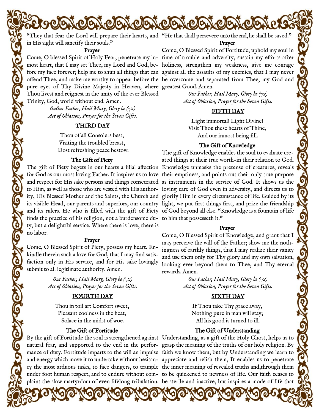"They that fear the Lord will prepare their hearts, and "He that shall persevere unto the end, he shall be saved." in His sight will sanctify their souls."

### Prayer

ententententen

Come, O blessed Spirit of Holy Fear, penetrate my in-time of trouble and adversity, sustain my efforts after most heart, that I may set Thee, my Lord and God, be-holiness, strengthen my weakness, give me courage fore my face forever; help me to shun all things that can against all the assaults of my enemies, that I may never offend Thee, and make me worthy to appear before the be overcome and separated from Thee, my God and pure eyes of Thy Divine Majesty in Heaven, where greatest Good. Amen. Thou livest and reignest in the unity of the ever Blessed Trinity, God, world without end. Amen.

*OuOur Father, Hail Mary, Glory be (7x) Act of Oblation, Prayer for the Seven Gifts.*

### THIRD DAY

Thou of all Consolers best, Visiting the troubled breast, Dost refreshing peace bestow.

### The Gift of Piety

The gift of Piety begets in our hearts a filial affection Knowledge unmasks the pretense of creatures, reveals for God as our most loving Father. It inspires us to love their emptiness, and points out their only true purpose and respect for His sake persons and things consecrated as instruments in the service of God. It shows us the to Him, as well as those who are vested with His author-loving care of God even in adversity, and directs us to ity, His Blessed Mother and the Saints, the Church and glorify Him in every circumstance of life. Guided by its its visible Head, our parents and superiors, our country light, we put first things first, and prize the friendship and its rulers. He who is filled with the gift of Piety of God beyond all else. "Knowledge is a fountain of life finds the practice of his religion, not a burdensome du-to him that possesseth it." ty, but a delightful service. Where there is love, there is no labor.

# Prayer

Come, O Blessed Spirit of Piety, possess my heart. Enkindle therein such a love for God, that I may find satisfaction only in His service, and for His sake lovingly submit to all legitimate authority. Amen.

> *Our Father, Hail Mary, Glory be (7x) Act of Oblation, Prayer for the Seven Gifts.*

# FOURTH DAY

Thou in toil art Comfort sweet, Pleasant coolness in the heat, Solace in the midst of woe.

# The Gift of Fortitude

By the gift of Fortitude the soul is strengthened against Understanding, as a gift of the Holy Ghost, helps us to natural fear, and supported to the end in the perfor-grasp the meaning of the truths of our holy religion. By mance of duty. Fortitude imparts to the will an impulse faith we know them, but by Understanding we learn to and energy which move it to undertake without hesitan-appreciate and relish them, It enables us to penetrate cy the most arduous tasks, to face dangers, to trample the inner meaning of revealed truths and,through them under foot human respect, and to endure without com-to be quickened to newness of life. Our faith ceases to plaint the slow martyrdom of even lifelong tribulation. be sterile and inactive, but inspires a mode of life that

Prayer

Come, O Blessed Spirit of Fortitude, uphold my soul in

*Our Father, Hail Mary, Glory be (7x) Act of Oblation, Prayer for the Seven Gifts.*

# FIFTH DAY

Light immortal! Light Divine! Visit Thou these hearts of Thine, And our inmost being fill.

### The Gift of Knowledge

The gift of Knowledge enables the soul to evaluate created things at their true worth-in their relation to God.

### Prayer

Come, O Blessed Spirit of Knowledge, and grant that I may perceive the will of the Father; show me the nothingness of earthly things, that I may realize their vanity and use them only for Thy glory and my own salvation, looking ever beyond them to Thee, and Thy eternal rewards. Amen.

> *Our Father, Hail Mary, Glory be (7x) Act of Oblation, Prayer for the Seven Gifts.*

# SIXTH DAY

If Thou take Thy grace away, Nothing pure in man will stay; All his good is turned to ill.

### The Gift of Understanding